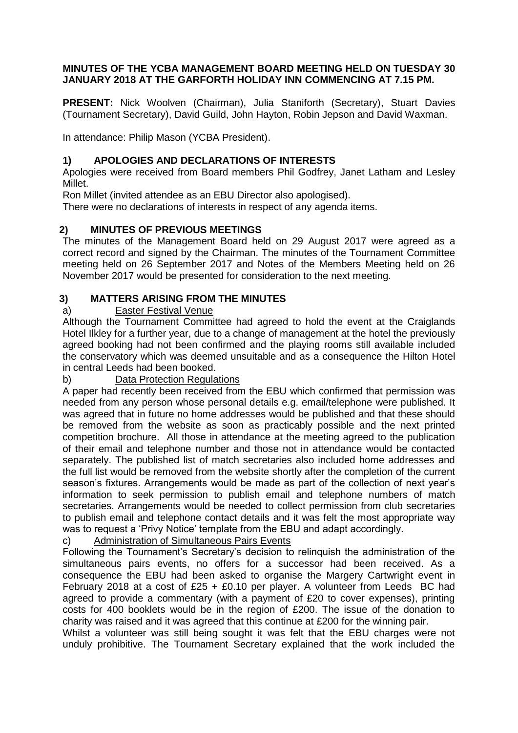### **MINUTES OF THE YCBA MANAGEMENT BOARD MEETING HELD ON TUESDAY 30 JANUARY 2018 AT THE GARFORTH HOLIDAY INN COMMENCING AT 7.15 PM.**

**PRESENT:** Nick Woolven (Chairman), Julia Staniforth (Secretary), Stuart Davies (Tournament Secretary), David Guild, John Hayton, Robin Jepson and David Waxman.

In attendance: Philip Mason (YCBA President).

## **1) APOLOGIES AND DECLARATIONS OF INTERESTS**

Apologies were received from Board members Phil Godfrey, Janet Latham and Lesley Millet.

Ron Millet (invited attendee as an EBU Director also apologised).

There were no declarations of interests in respect of any agenda items.

## **2) MINUTES OF PREVIOUS MEETINGS**

The minutes of the Management Board held on 29 August 2017 were agreed as a correct record and signed by the Chairman. The minutes of the Tournament Committee meeting held on 26 September 2017 and Notes of the Members Meeting held on 26 November 2017 would be presented for consideration to the next meeting.

## **3) MATTERS ARISING FROM THE MINUTES**

### a) Easter Festival Venue

Although the Tournament Committee had agreed to hold the event at the Craiglands Hotel Ilkley for a further year, due to a change of management at the hotel the previously agreed booking had not been confirmed and the playing rooms still available included the conservatory which was deemed unsuitable and as a consequence the Hilton Hotel in central Leeds had been booked.

### b) Data Protection Regulations

A paper had recently been received from the EBU which confirmed that permission was needed from any person whose personal details e.g. email/telephone were published. It was agreed that in future no home addresses would be published and that these should be removed from the website as soon as practicably possible and the next printed competition brochure. All those in attendance at the meeting agreed to the publication of their email and telephone number and those not in attendance would be contacted separately. The published list of match secretaries also included home addresses and the full list would be removed from the website shortly after the completion of the current season's fixtures. Arrangements would be made as part of the collection of next year's information to seek permission to publish email and telephone numbers of match secretaries. Arrangements would be needed to collect permission from club secretaries to publish email and telephone contact details and it was felt the most appropriate way was to request a 'Privy Notice' template from the EBU and adapt accordingly.

### c) Administration of Simultaneous Pairs Events

Following the Tournament's Secretary's decision to relinquish the administration of the simultaneous pairs events, no offers for a successor had been received. As a consequence the EBU had been asked to organise the Margery Cartwright event in February 2018 at a cost of £25 + £0.10 per player. A volunteer from Leeds BC had agreed to provide a commentary (with a payment of £20 to cover expenses), printing costs for 400 booklets would be in the region of £200. The issue of the donation to charity was raised and it was agreed that this continue at £200 for the winning pair.

Whilst a volunteer was still being sought it was felt that the EBU charges were not unduly prohibitive. The Tournament Secretary explained that the work included the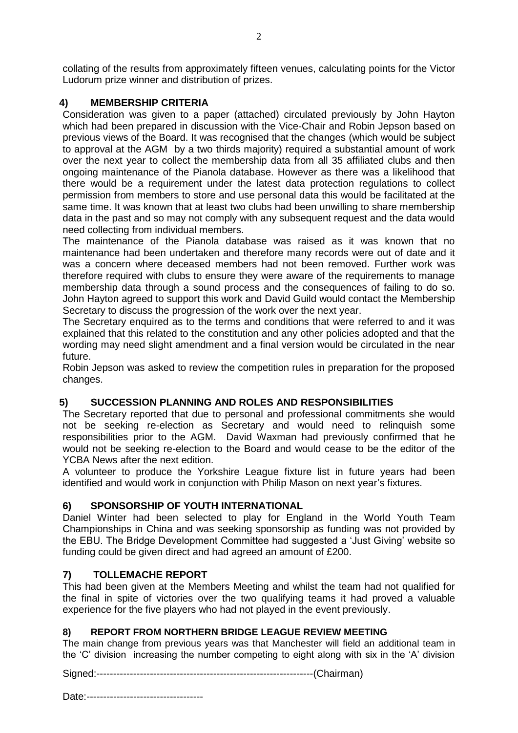collating of the results from approximately fifteen venues, calculating points for the Victor Ludorum prize winner and distribution of prizes.

## **4) MEMBERSHIP CRITERIA**

Consideration was given to a paper (attached) circulated previously by John Hayton which had been prepared in discussion with the Vice-Chair and Robin Jepson based on previous views of the Board. It was recognised that the changes (which would be subject to approval at the AGM by a two thirds majority) required a substantial amount of work over the next year to collect the membership data from all 35 affiliated clubs and then ongoing maintenance of the Pianola database. However as there was a likelihood that there would be a requirement under the latest data protection regulations to collect permission from members to store and use personal data this would be facilitated at the same time. It was known that at least two clubs had been unwilling to share membership data in the past and so may not comply with any subsequent request and the data would need collecting from individual members.

The maintenance of the Pianola database was raised as it was known that no maintenance had been undertaken and therefore many records were out of date and it was a concern where deceased members had not been removed. Further work was therefore required with clubs to ensure they were aware of the requirements to manage membership data through a sound process and the consequences of failing to do so. John Hayton agreed to support this work and David Guild would contact the Membership Secretary to discuss the progression of the work over the next year.

The Secretary enquired as to the terms and conditions that were referred to and it was explained that this related to the constitution and any other policies adopted and that the wording may need slight amendment and a final version would be circulated in the near future.

Robin Jepson was asked to review the competition rules in preparation for the proposed changes.

## **5) SUCCESSION PLANNING AND ROLES AND RESPONSIBILITIES**

The Secretary reported that due to personal and professional commitments she would not be seeking re-election as Secretary and would need to relinquish some responsibilities prior to the AGM. David Waxman had previously confirmed that he would not be seeking re-election to the Board and would cease to be the editor of the YCBA News after the next edition.

A volunteer to produce the Yorkshire League fixture list in future years had been identified and would work in conjunction with Philip Mason on next year's fixtures.

## **6) SPONSORSHIP OF YOUTH INTERNATIONAL**

Daniel Winter had been selected to play for England in the World Youth Team Championships in China and was seeking sponsorship as funding was not provided by the EBU. The Bridge Development Committee had suggested a 'Just Giving' website so funding could be given direct and had agreed an amount of £200.

# **7) TOLLEMACHE REPORT**

This had been given at the Members Meeting and whilst the team had not qualified for the final in spite of victories over the two qualifying teams it had proved a valuable experience for the five players who had not played in the event previously.

## **8) REPORT FROM NORTHERN BRIDGE LEAGUE REVIEW MEETING**

The main change from previous years was that Manchester will field an additional team in the 'C' division increasing the number competing to eight along with six in the 'A' division

Signed:-----------------------------------------------------------------(Chairman)

Date:-----------------------------------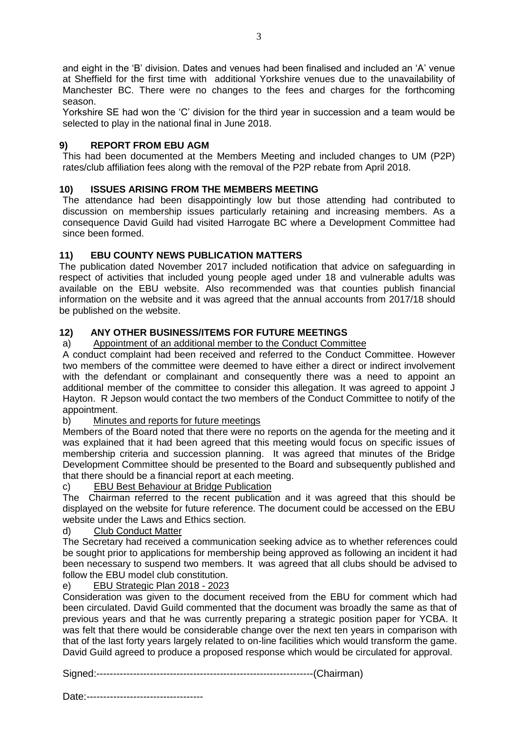and eight in the 'B' division. Dates and venues had been finalised and included an 'A' venue at Sheffield for the first time with additional Yorkshire venues due to the unavailability of Manchester BC. There were no changes to the fees and charges for the forthcoming season.

Yorkshire SE had won the 'C' division for the third year in succession and a team would be selected to play in the national final in June 2018.

### **9) REPORT FROM EBU AGM**

This had been documented at the Members Meeting and included changes to UM (P2P) rates/club affiliation fees along with the removal of the P2P rebate from April 2018.

#### **10) ISSUES ARISING FROM THE MEMBERS MEETING**

The attendance had been disappointingly low but those attending had contributed to discussion on membership issues particularly retaining and increasing members. As a consequence David Guild had visited Harrogate BC where a Development Committee had since been formed.

#### **11) EBU COUNTY NEWS PUBLICATION MATTERS**

The publication dated November 2017 included notification that advice on safeguarding in respect of activities that included young people aged under 18 and vulnerable adults was available on the EBU website. Also recommended was that counties publish financial information on the website and it was agreed that the annual accounts from 2017/18 should be published on the website.

### **12) ANY OTHER BUSINESS/ITEMS FOR FUTURE MEETINGS**

#### a) Appointment of an additional member to the Conduct Committee

A conduct complaint had been received and referred to the Conduct Committee. However two members of the committee were deemed to have either a direct or indirect involvement with the defendant or complainant and consequently there was a need to appoint an additional member of the committee to consider this allegation. It was agreed to appoint J Hayton. R Jepson would contact the two members of the Conduct Committee to notify of the appointment.

#### b) Minutes and reports for future meetings

Members of the Board noted that there were no reports on the agenda for the meeting and it was explained that it had been agreed that this meeting would focus on specific issues of membership criteria and succession planning. It was agreed that minutes of the Bridge Development Committee should be presented to the Board and subsequently published and that there should be a financial report at each meeting.

#### c) EBU Best Behaviour at Bridge Publication

The Chairman referred to the recent publication and it was agreed that this should be displayed on the website for future reference. The document could be accessed on the EBU website under the Laws and Ethics section.

#### d) Club Conduct Matter

The Secretary had received a communication seeking advice as to whether references could be sought prior to applications for membership being approved as following an incident it had been necessary to suspend two members. It was agreed that all clubs should be advised to follow the EBU model club constitution.

#### e) EBU Strategic Plan 2018 - 2023

Consideration was given to the document received from the EBU for comment which had been circulated. David Guild commented that the document was broadly the same as that of previous years and that he was currently preparing a strategic position paper for YCBA. It was felt that there would be considerable change over the next ten years in comparison with that of the last forty years largely related to on-line facilities which would transform the game. David Guild agreed to produce a proposed response which would be circulated for approval.

Signed:-----------------------------------------------------------------(Chairman)